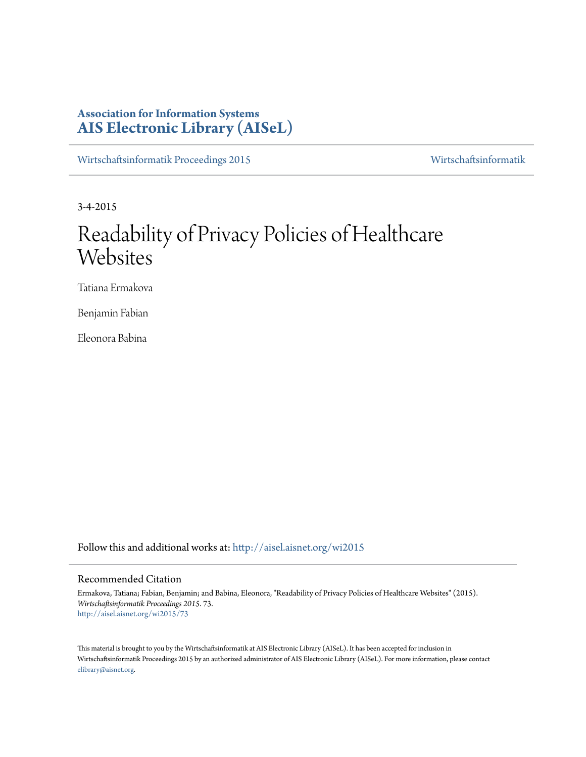# **Association for Information Systems [AIS Electronic Library \(AISeL\)](http://aisel.aisnet.org?utm_source=aisel.aisnet.org%2Fwi2015%2F73&utm_medium=PDF&utm_campaign=PDFCoverPages)**

[Wirtschaftsinformatik Proceedings 2015](http://aisel.aisnet.org/wi2015?utm_source=aisel.aisnet.org%2Fwi2015%2F73&utm_medium=PDF&utm_campaign=PDFCoverPages) [Wirtschaftsinformatik](http://aisel.aisnet.org/wi?utm_source=aisel.aisnet.org%2Fwi2015%2F73&utm_medium=PDF&utm_campaign=PDFCoverPages)

3-4-2015

# Readability of Privacy Policies of Healthcare **Websites**

Tatiana Ermakova

Benjamin Fabian

Eleonora Babina

Follow this and additional works at: [http://aisel.aisnet.org/wi2015](http://aisel.aisnet.org/wi2015?utm_source=aisel.aisnet.org%2Fwi2015%2F73&utm_medium=PDF&utm_campaign=PDFCoverPages)

# Recommended Citation

Ermakova, Tatiana; Fabian, Benjamin; and Babina, Eleonora, "Readability of Privacy Policies of Healthcare Websites" (2015). *Wirtschaftsinformatik Proceedings 2015*. 73. [http://aisel.aisnet.org/wi2015/73](http://aisel.aisnet.org/wi2015/73?utm_source=aisel.aisnet.org%2Fwi2015%2F73&utm_medium=PDF&utm_campaign=PDFCoverPages)

This material is brought to you by the Wirtschaftsinformatik at AIS Electronic Library (AISeL). It has been accepted for inclusion in Wirtschaftsinformatik Proceedings 2015 by an authorized administrator of AIS Electronic Library (AISeL). For more information, please contact [elibrary@aisnet.org.](mailto:elibrary@aisnet.org%3E)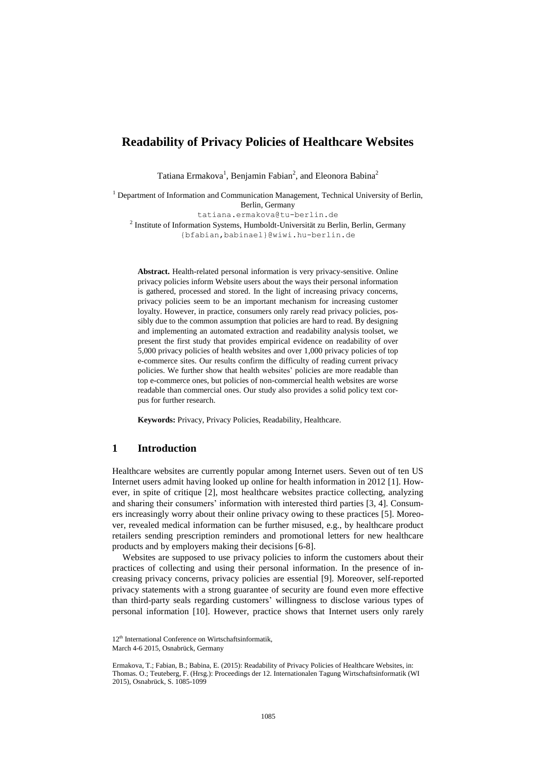# **Readability of Privacy Policies of Healthcare Websites**

Tatiana Ermakova<sup>1</sup>, Benjamin Fabian<sup>2</sup>, and Eleonora Babina<sup>2</sup>

<sup>1</sup> Department of Information and Communication Management, Technical University of Berlin, Berlin, Germany

tatiana.ermakova@tu-berlin.de

<sup>2</sup> Institute of Information Systems, Humboldt-Universität zu Berlin, Berlin, Germany [{bfabian,babinael}@wiwi.hu-berlin.de](mailto:bfabian,%20%7d@hu-berlin.de)

**Abstract.** Health-related personal information is very privacy-sensitive. Online privacy policies inform Website users about the ways their personal information is gathered, processed and stored. In the light of increasing privacy concerns, privacy policies seem to be an important mechanism for increasing customer loyalty. However, in practice, consumers only rarely read privacy policies, possibly due to the common assumption that policies are hard to read. By designing and implementing an automated extraction and readability analysis toolset, we present the first study that provides empirical evidence on readability of over 5,000 privacy policies of health websites and over 1,000 privacy policies of top e-commerce sites. Our results confirm the difficulty of reading current privacy policies. We further show that health websites' policies are more readable than top e-commerce ones, but policies of non-commercial health websites are worse readable than commercial ones. Our study also provides a solid policy text corpus for further research.

**Keywords:** Privacy, Privacy Policies, Readability, Healthcare.

# **1 Introduction**

Healthcare websites are currently popular among Internet users. Seven out of ten US Internet users admit having looked up online for health information in 2012 [\[1\]](#page-13-0). However, in spite of critique [\[2\]](#page-13-1), most healthcare websites practice collecting, analyzing and sharing their consumers' information with interested third parties [\[3,](#page-13-2) [4\]](#page-13-3). Consumers increasingly worry about their online privacy owing to these practices [\[5\]](#page-13-4). Moreover, revealed medical information can be further misused, e.g., by healthcare product retailers sending prescription reminders and promotional letters for new healthcare products and by employers making their decisions [\[6-](#page-13-5)[8\]](#page-13-6).

Websites are supposed to use privacy policies to inform the customers about their practices of collecting and using their personal information. In the presence of increasing privacy concerns, privacy policies are essential [\[9\]](#page-13-7). Moreover, self-reported privacy statements with a strong guarantee of security are found even more effective than third-party seals regarding customers' willingness to disclose various types of personal information [\[10\]](#page-13-8). However, practice shows that Internet users only rarely

<sup>12&</sup>lt;sup>th</sup> International Conference on Wirtschaftsinformatik.

March 4-6 2015, Osnabrück, Germany

Ermakova, T.; Fabian, B.; Babina, E. (2015): Readability of Privacy Policies of Healthcare Websites, in: Thomas. O.; Teuteberg, F. (Hrsg.): Proceedings der 12. Internationalen Tagung Wirtschaftsinformatik (WI 2015), Osnabrück, S. 1085-1099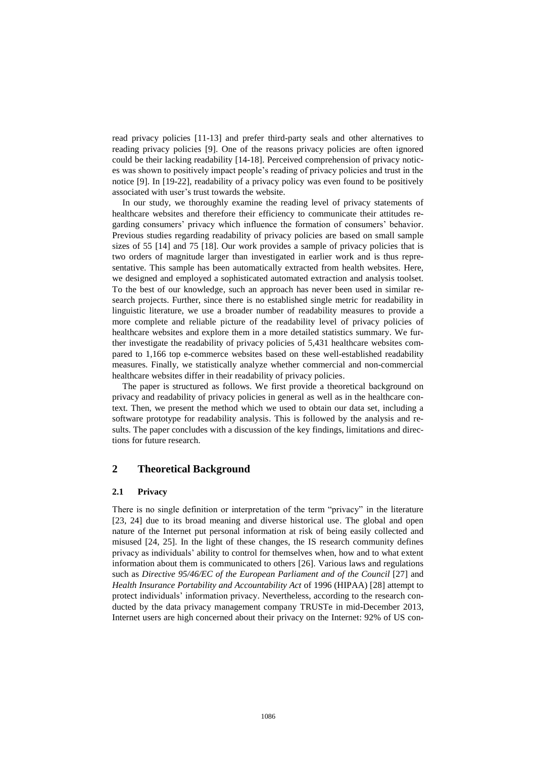read privacy policies [\[11-](#page-13-9)[13\]](#page-13-10) and prefer third-party seals and other alternatives to reading privacy policies [\[9\]](#page-13-7). One of the reasons privacy policies are often ignored could be their lacking readability [\[14-](#page-13-11)[18\]](#page-14-0). Perceived comprehension of privacy notices was shown to positively impact people's reading of privacy policies and trust in the notice [\[9\]](#page-13-7). In [\[19](#page-14-1)[-22\]](#page-14-2), readability of a privacy policy was even found to be positively associated with user's trust towards the website.

In our study, we thoroughly examine the reading level of privacy statements of healthcare websites and therefore their efficiency to communicate their attitudes regarding consumers' privacy which influence the formation of consumers' behavior. Previous studies regarding readability of privacy policies are based on small sample sizes of 55 [\[14\]](#page-13-11) and 75 [\[18\]](#page-14-0). Our work provides a sample of privacy policies that is two orders of magnitude larger than investigated in earlier work and is thus representative. This sample has been automatically extracted from health websites. Here, we designed and employed a sophisticated automated extraction and analysis toolset. To the best of our knowledge, such an approach has never been used in similar research projects. Further, since there is no established single metric for readability in linguistic literature, we use a broader number of readability measures to provide a more complete and reliable picture of the readability level of privacy policies of healthcare websites and explore them in a more detailed statistics summary. We further investigate the readability of privacy policies of 5,431 healthcare websites compared to 1,166 top e-commerce websites based on these well-established readability measures. Finally, we statistically analyze whether commercial and non-commercial healthcare websites differ in their readability of privacy policies.

The paper is structured as follows. We first provide a theoretical background on privacy and readability of privacy policies in general as well as in the healthcare context. Then, we present the method which we used to obtain our data set, including a software prototype for readability analysis. This is followed by the analysis and results. The paper concludes with a discussion of the key findings, limitations and directions for future research.

# **2 Theoretical Background**

#### **2.1 Privacy**

There is no single definition or interpretation of the term "privacy" in the literature [\[23,](#page-14-3) [24\]](#page-14-4) due to its broad meaning and diverse historical use. The global and open nature of the Internet put personal information at risk of being easily collected and misused [\[24,](#page-14-4) [25\]](#page-14-5). In the light of these changes, the IS research community defines privacy as individuals' ability to control for themselves when, how and to what extent information about them is communicated to others [\[26\]](#page-14-6). Various laws and regulations such as *Directive 95/46/EC of the European Parliament and of the Council* [\[27\]](#page-14-7) and *Health Insurance Portability and Accountability Act* of 1996 (HIPAA) [\[28\]](#page-14-8) attempt to protect individuals' information privacy. Nevertheless, according to the research conducted by the data privacy management company TRUSTe in mid-December 2013, Internet users are high concerned about their privacy on the Internet: 92% of US con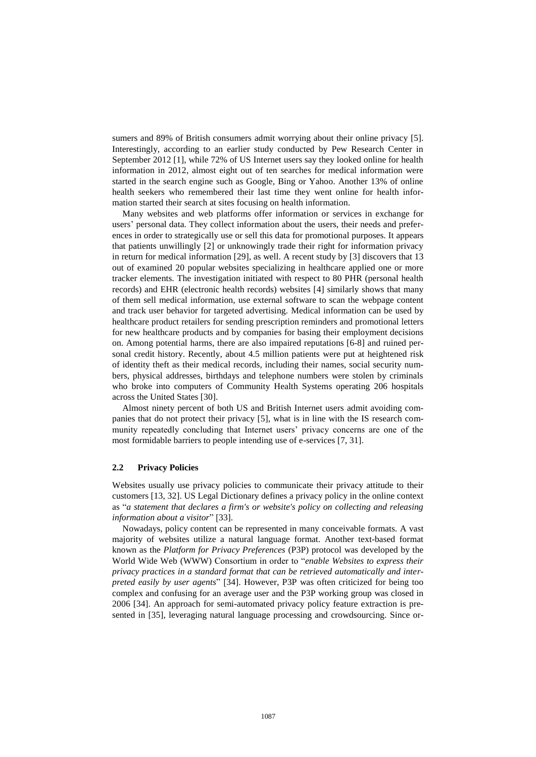sumers and 89% of British consumers admit worrying about their online privacy [\[5\]](#page-13-4). Interestingly, according to an earlier study conducted by Pew Research Center in September 2012 [\[1\]](#page-13-0), while 72% of US Internet users say they looked online for health information in 2012, almost eight out of ten searches for medical information were started in the search engine such as Google, Bing or Yahoo. Another 13% of online health seekers who remembered their last time they went online for health information started their search at sites focusing on health information.

Many websites and web platforms offer information or services in exchange for users' personal data. They collect information about the users, their needs and preferences in order to strategically use or sell this data for promotional purposes. It appears that patients unwillingly [\[2\]](#page-13-12) or unknowingly trade their right for information privacy in return for medical information [\[29\]](#page-14-9), as well. A recent study by [\[3\]](#page-13-2) discovers that 13 out of examined 20 popular websites specializing in healthcare applied one or more tracker elements. The investigation initiated with respect to 80 PHR (personal health records) and EHR (electronic health records) websites [\[4\]](#page-13-3) similarly shows that many of them sell medical information, use external software to scan the webpage content and track user behavior for targeted advertising. Medical information can be used by healthcare product retailers for sending prescription reminders and promotional letters for new healthcare products and by companies for basing their employment decisions on. Among potential harms, there are also impaired reputations [\[6-](#page-13-5)[8\]](#page-13-6) and ruined personal credit history. Recently, about 4.5 million patients were put at heightened risk of identity theft as their medical records, including their names, social security numbers, physical addresses, birthdays and telephone numbers were stolen by criminals who broke into computers of Community Health Systems operating 206 hospitals across the United States [\[30\]](#page-14-10).

Almost ninety percent of both US and British Internet users admit avoiding companies that do not protect their privacy [\[5\]](#page-13-4), what is in line with the IS research community repeatedly concluding that Internet users' privacy concerns are one of the most formidable barriers to people intending use of e-services [\[7,](#page-13-13) [31\]](#page-14-11).

#### **2.2 Privacy Policies**

Websites usually use privacy policies to communicate their privacy attitude to their customers [\[13,](#page-13-10) [32\]](#page-14-12). US Legal Dictionary defines a privacy policy in the online context as "*a statement that declares a firm's or website's policy on collecting and releasing information about a visitor*" [\[33\]](#page-14-13).

Nowadays, policy content can be represented in many conceivable formats. A vast majority of websites utilize a natural language format. Another text-based format known as the *Platform for Privacy Preferences* (P3P) protocol was developed by the World Wide Web (WWW) Consortium in order to "*enable Websites to express their privacy practices in a standard format that can be retrieved automatically and interpreted easily by user agents*" [\[34\]](#page-14-14). However, P3P was often criticized for being too complex and confusing for an average user and the P3P working group was closed in 2006 [\[34\]](#page-14-14). An approach for semi-automated privacy policy feature extraction is presented in [\[35\]](#page-14-15), leveraging natural language processing and crowdsourcing. Since or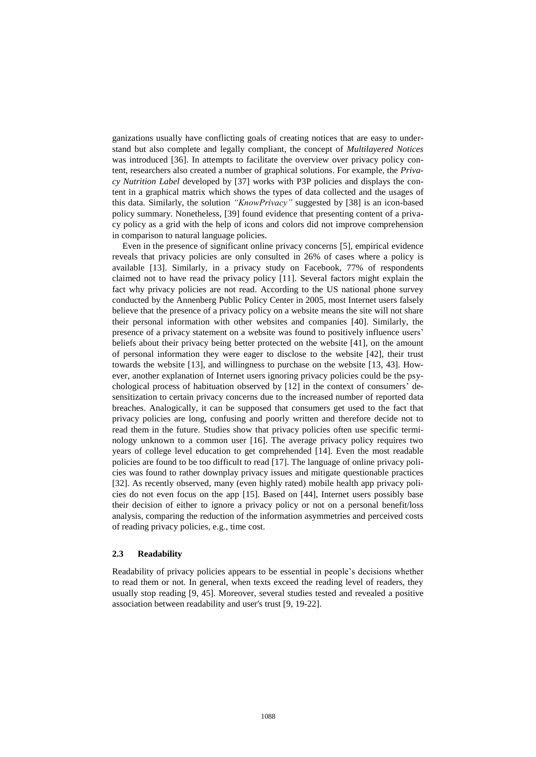ganizations usually have conflicting goals of creating notices that are easy to understand but also complete and legally compliant, the concept of *Multilayered Notices* was introduced [\[36\]](#page-14-16). In attempts to facilitate the overview over privacy policy content, researchers also created a number of graphical solutions. For example, the *Privacy Nutrition Label* developed by [\[37\]](#page-14-17) works with P3P policies and displays the content in a graphical matrix which shows the types of data collected and the usages of this data. Similarly, the solution *"KnowPrivacy"* suggested by [\[38\]](#page-14-18) is an icon-based policy summary. Nonetheless, [\[39\]](#page-15-0) found evidence that presenting content of a privacy policy as a grid with the help of icons and colors did not improve comprehension in comparison to natural language policies.

Even in the presence of significant online privacy concerns [\[5\]](#page-13-4), empirical evidence reveals that privacy policies are only consulted in 26% of cases where a policy is available [\[13\]](#page-13-10). Similarly, in a privacy study on Facebook, 77% of respondents claimed not to have read the privacy policy [\[11\]](#page-13-9). Several factors might explain the fact why privacy policies are not read. According to the US national phone survey conducted by the Annenberg Public Policy Center in 2005, most Internet users falsely believe that the presence of a privacy policy on a website means the site will not share their personal information with other websites and companies [\[40\]](#page-15-1). Similarly, the presence of a privacy statement on a website was found to positively influence users' beliefs about their privacy being better protected on the website [\[41\]](#page-15-2), on the amount of personal information they were eager to disclose to the website [\[42\]](#page-15-3), their trust towards the website [\[13\]](#page-13-10), and willingness to purchase on the website [\[13,](#page-13-10) [43\]](#page-15-4). However, another explanation of Internet users ignoring privacy policies could be the psychological process of habituation observed by [\[12\]](#page-13-14) in the context of consumers' desensitization to certain privacy concerns due to the increased number of reported data breaches. Analogically, it can be supposed that consumers get used to the fact that privacy policies are long, confusing and poorly written and therefore decide not to read them in the future. Studies show that privacy policies often use specific terminology unknown to a common user [\[16\]](#page-13-15). The average privacy policy requires two years of college level education to get comprehended [\[14\]](#page-13-11). Even the most readable policies are found to be too difficult to read [\[17\]](#page-13-16). The language of online privacy policies was found to rather downplay privacy issues and mitigate questionable practices [\[32\]](#page-14-12). As recently observed, many (even highly rated) mobile health app privacy policies do not even focus on the app [\[15\]](#page-13-17). Based on [\[44\]](#page-15-5), Internet users possibly base their decision of either to ignore a privacy policy or not on a personal benefit/loss analysis, comparing the reduction of the information asymmetries and perceived costs of reading privacy policies, e.g., time cost.

#### **2.3 Readability**

Readability of privacy policies appears to be essential in people's decisions whether to read them or not. In general, when texts exceed the reading level of readers, they usually stop reading [\[9,](#page-13-7) [45\]](#page-15-6). Moreover, several studies tested and revealed a positive association between readability and user's trust [\[9,](#page-13-7) [19](#page-14-1)[-22\]](#page-14-2).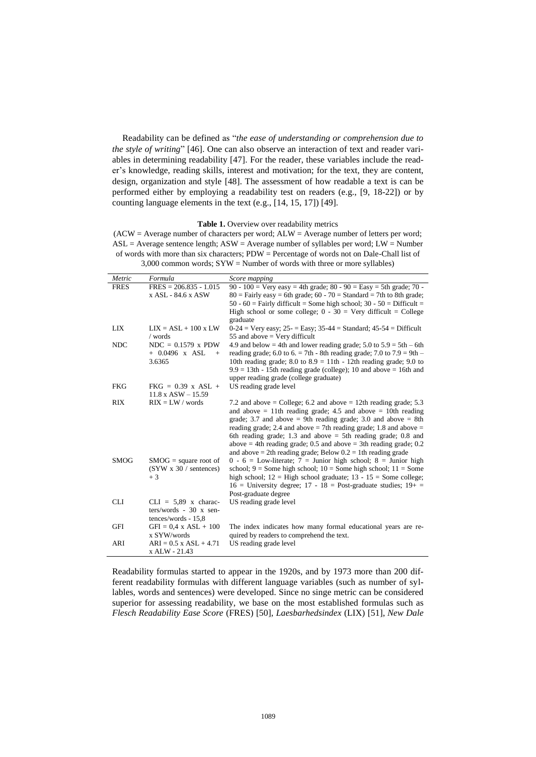Readability can be defined as "*the ease of understanding or comprehension due to the style of writing*" [\[46\]](#page-15-7). One can also observe an interaction of text and reader variables in determining readability [\[47\]](#page-15-8). For the reader, these variables include the reader's knowledge, reading skills, interest and motivation; for the text, they are content, design, organization and style [\[48\]](#page-15-9). The assessment of how readable a text is can be performed either by employing a readability test on readers (e.g., [\[9,](#page-13-7) [18](#page-14-0)[-22\]](#page-14-2)) or by counting language elements in the text (e.g., [\[14,](#page-13-11) [15,](#page-13-17) [17\]](#page-13-16)) [\[49\]](#page-15-10).

**Table 1.** Overview over readability metrics

<span id="page-5-0"></span> $(ACW = Average number of characters per word; ALW = Average number of letters per word;$  $ASL = Average$  sentence length;  $ASW = Average$  number of syllables per word;  $LW = Number$ of words with more than six characters; PDW = Percentage of words not on Dale-Chall list of 3,000 common words; SYW = Number of words with three or more syllables)

| Metric      | Formula                         | Score mapping                                                                 |
|-------------|---------------------------------|-------------------------------------------------------------------------------|
| <b>FRES</b> | $FRES = 206.835 - 1.015$        | 90 - 100 = Very easy = 4th grade; 80 - 90 = Easy = 5th grade; 70 -            |
|             | x ASL - 84.6 x ASW              | $80$ = Fairly easy = 6th grade; 60 - 70 = Standard = 7th to 8th grade;        |
|             |                                 | 50 - 60 = Fairly difficult = Some high school; $30 - 50 = \text{Difficult} =$ |
|             |                                 | High school or some college; $0 - 30 =$ Very difficult = College              |
|             |                                 | graduate                                                                      |
| <b>LIX</b>  | $LIX = ASL + 100$ x LW          | $0-24$ = Very easy; $25$ - = Easy; $35-44$ = Standard; $45-54$ = Difficult    |
|             | / words                         | 55 and above $=$ Very difficult                                               |
| <b>NDC</b>  | $NDC = 0.1579$ x PDW            | 4.9 and below = 4th and lower reading grade; $5.0$ to $5.9 = 5$ th – 6th      |
|             | $+ 0.0496$ x ASL<br>$+$         | reading grade; 6.0 to 6. = 7th - 8th reading grade; 7.0 to $7.9 = 9$ th -     |
|             | 3.6365                          | 10th reading grade; 8.0 to $8.9 = 11$ th - 12th reading grade; 9.0 to         |
|             |                                 | $9.9 = 13$ th - 15th reading grade (college); 10 and above = 16th and         |
|             |                                 | upper reading grade (college graduate)                                        |
| <b>FKG</b>  | $FKG = 0.39$ x ASL +            | US reading grade level                                                        |
|             | $11.8 \text{ x }$ ASW $- 15.59$ |                                                                               |
| <b>RIX</b>  | $RIX = LW / words$              | 7.2 and above = College; 6.2 and above = 12th reading grade; 5.3              |
|             |                                 | and above $= 11$ th reading grade; 4.5 and above $= 10$ th reading            |
|             |                                 | grade; 3.7 and above $= 9$ th reading grade; 3.0 and above $= 8$ th           |
|             |                                 | reading grade; 2.4 and above $=$ 7th reading grade; 1.8 and above $=$         |
|             |                                 | 6th reading grade; 1.3 and above $=$ 5th reading grade; 0.8 and               |
|             |                                 | above $=$ 4th reading grade; 0.5 and above $=$ 3th reading grade; 0.2         |
|             |                                 | and above $= 2$ th reading grade; Below $0.2 = 1$ th reading grade            |
| <b>SMOG</b> | $SMOG = square root of$         | $0 - 6 =$ Low-literate; $7 =$ Junior high school; $8 =$ Junior high           |
|             | (SYW x 30 / sentences)          | school; $9 =$ Some high school; $10 =$ Some high school; $11 =$ Some          |
|             | $+3$                            | high school; $12 =$ High school graduate; $13 - 15 =$ Some college;           |
|             |                                 | $16$ = University degree; $17 - 18$ = Post-graduate studies; $19 +$ =         |
|             |                                 | Post-graduate degree                                                          |
| <b>CLI</b>  | $CLI = 5,89$ x charac-          | US reading grade level                                                        |
|             | $ters/words - 30 x sen-$        |                                                                               |
|             | tences/words - 15,8             |                                                                               |
| <b>GFI</b>  | $GFI = 0.4$ x $ASL + 100$       | The index indicates how many formal educational years are re-                 |
|             | x SYW/words                     | quired by readers to comprehend the text.                                     |
| ARI         | $ARI = 0.5$ x $ASI + 4.71$      | US reading grade level                                                        |
|             | x ALW - 21.43                   |                                                                               |

Readability formulas started to appear in the 1920s, and by 1973 more than 200 different readability formulas with different language variables (such as number of syllables, words and sentences) were developed. Since no singe metric can be considered superior for assessing readability, we base on the most established formulas such as *Flesch Readability Ease Score* (FRES) [\[50\]](#page-15-11), *Laesbarhedsindex* (LIX) [\[51\]](#page-15-12), *New Dale*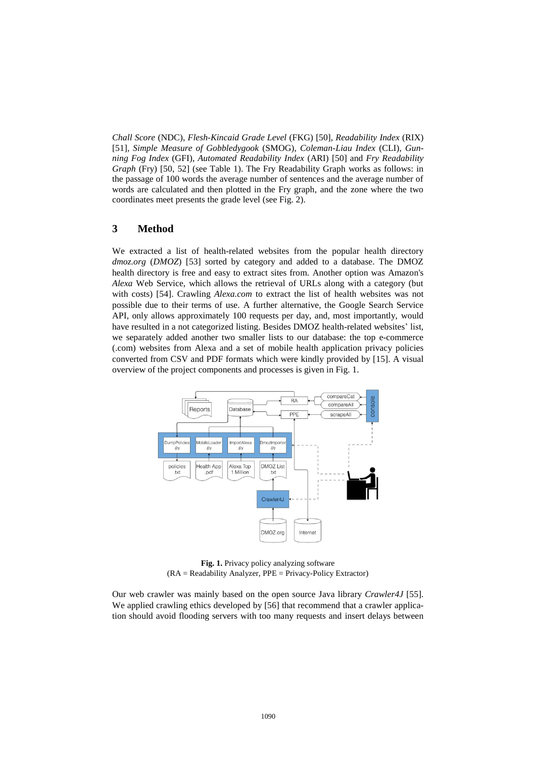*Chall Score* (NDC), *Flesh-Kincaid Grade Level* (FKG) [\[50\]](#page-15-11), *Readability Index* (RIX) [\[51\]](#page-15-12), *Simple Measure of Gobbledygook* (SMOG), *Coleman-Liau Index* (CLI), *Gunning Fog Index* (GFI), *Automated Readability Index* (ARI) [\[50\]](#page-15-11) and *Fry Readability Graph* (Fry) [\[50,](#page-15-11) [52\]](#page-15-13) (see [Table 1\)](#page-5-0). The Fry Readability Graph works as follows: in the passage of 100 words the average number of sentences and the average number of words are calculated and then plotted in the Fry graph, and the zone where the two coordinates meet presents the grade level (see [Fig. 2\)](#page-8-0).

# **3 Method**

We extracted a list of health-related websites from the popular health directory *dmoz.org* (*DMOZ*) [\[53\]](#page-15-14) sorted by category and added to a database. The DMOZ health directory is free and easy to extract sites from. Another option was Amazon's *Alexa* Web Service, which allows the retrieval of URLs along with a category (but with costs) [\[54\]](#page-15-15). Crawling *Alexa.com* to extract the list of health websites was not possible due to their terms of use. A further alternative, the Google Search Service API, only allows approximately 100 requests per day, and, most importantly, would have resulted in a not categorized listing. Besides DMOZ health-related websites' list, we separately added another two smaller lists to our database: the top e-commerce (.com) websites from Alexa and a set of mobile health application privacy policies converted from CSV and PDF formats which were kindly provided by [\[15\]](#page-13-17). A visual overview of the project components and processes is given in [Fig. 1.](#page-6-0)



**Fig. 1.** Privacy policy analyzing software (RA = Readability Analyzer, PPE = Privacy-Policy Extractor)

<span id="page-6-0"></span>Our web crawler was mainly based on the open source Java library *Crawler4J* [\[55\]](#page-15-16). We applied crawling ethics developed by [\[56\]](#page-15-17) that recommend that a crawler application should avoid flooding servers with too many requests and insert delays between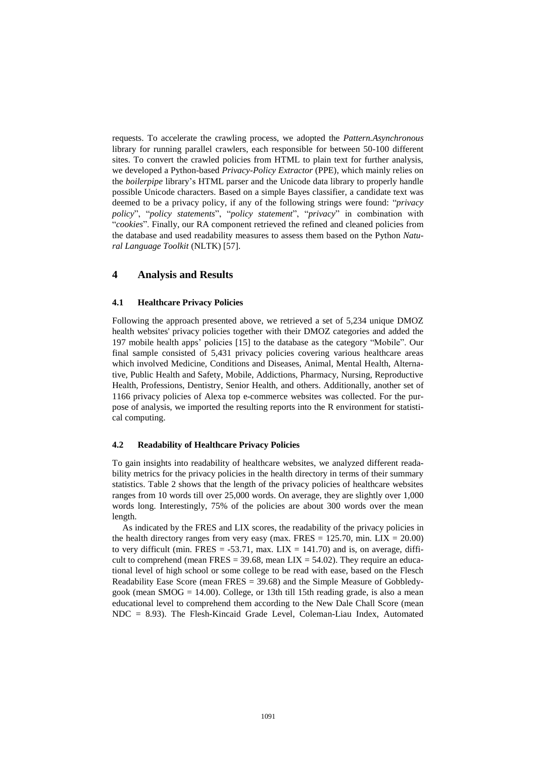requests. To accelerate the crawling process, we adopted the *Pattern.Asynchronous* library for running parallel crawlers, each responsible for between 50-100 different sites. To convert the crawled policies from HTML to plain text for further analysis, we developed a Python-based *Privacy-Policy Extractor* (PPE), which mainly relies on the *boilerpipe* library's HTML parser and the Unicode data library to properly handle possible Unicode characters. Based on a simple Bayes classifier, a candidate text was deemed to be a privacy policy, if any of the following strings were found: "*privacy policy*", "*policy statements*", "*policy statement*", "*privacy*" in combination with "*cookies*". Finally, our RA component retrieved the refined and cleaned policies from the database and used readability measures to assess them based on the Python *Natural Language Toolkit* (NLTK) [\[57\]](#page-15-18).

## **4 Analysis and Results**

#### **4.1 Healthcare Privacy Policies**

Following the approach presented above, we retrieved a set of 5,234 unique DMOZ health websites' privacy policies together with their DMOZ categories and added the 197 mobile health apps' policies [\[15\]](#page-13-17) to the database as the category "Mobile". Our final sample consisted of 5,431 privacy policies covering various healthcare areas which involved Medicine, Conditions and Diseases, Animal, Mental Health, Alternative, Public Health and Safety, Mobile, Addictions, Pharmacy, Nursing, Reproductive Health, Professions, Dentistry, Senior Health, and others. Additionally, another set of 1166 privacy policies of Alexa top e-commerce websites was collected. For the purpose of analysis, we imported the resulting reports into the R environment for statistical computing.

#### **4.2 Readability of Healthcare Privacy Policies**

To gain insights into readability of healthcare websites, we analyzed different readability metrics for the privacy policies in the health directory in terms of their summary statistics. [Table 2](#page-9-0) shows that the length of the privacy policies of healthcare websites ranges from 10 words till over 25,000 words. On average, they are slightly over 1,000 words long. Interestingly, 75% of the policies are about 300 words over the mean length.

As indicated by the FRES and LIX scores, the readability of the privacy policies in the health directory ranges from very easy (max. FRES =  $125.70$ , min. LIX =  $20.00$ ) to very difficult (min. FRES =  $-53.71$ , max. LIX = 141.70) and is, on average, difficult to comprehend (mean FRES = 39.68, mean  $LIX = 54.02$ ). They require an educational level of high school or some college to be read with ease, based on the Flesch Readability Ease Score (mean FRES = 39.68) and the Simple Measure of Gobbledygook (mean SMOG =  $14.00$ ). College, or 13th till 15th reading grade, is also a mean educational level to comprehend them according to the New Dale Chall Score (mean NDC = 8.93). The Flesh-Kincaid Grade Level, Coleman-Liau Index, Automated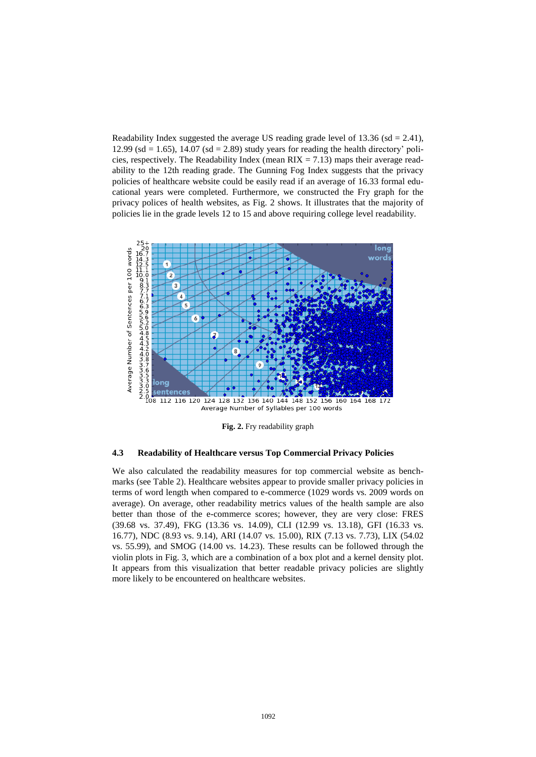Readability Index suggested the average US reading grade level of  $13.36$  (sd = 2.41), 12.99 (sd  $= 1.65$ ), 14.07 (sd  $= 2.89$ ) study years for reading the health directory' policies, respectively. The Readability Index (mean  $RIX = 7.13$ ) maps their average readability to the 12th reading grade. The Gunning Fog Index suggests that the privacy policies of healthcare website could be easily read if an average of 16.33 formal educational years were completed. Furthermore, we constructed the Fry graph for the privacy polices of health websites, as [Fig. 2](#page-8-0) shows. It illustrates that the majority of policies lie in the grade levels 12 to 15 and above requiring college level readability.



**Fig. 2.** Fry readability graph

#### <span id="page-8-0"></span>**4.3 Readability of Healthcare versus Top Commercial Privacy Policies**

We also calculated the readability measures for top commercial website as benchmarks (see [Table 2\)](#page-9-0). Healthcare websites appear to provide smaller privacy policies in terms of word length when compared to e-commerce (1029 words vs. 2009 words on average). On average, other readability metrics values of the health sample are also better than those of the e-commerce scores; however, they are very close: FRES (39.68 vs. 37.49), FKG (13.36 vs. 14.09), CLI (12.99 vs. 13.18), GFI (16.33 vs. 16.77), NDC (8.93 vs. 9.14), ARI (14.07 vs. 15.00), RIX (7.13 vs. 7.73), LIX (54.02 vs. 55.99), and SMOG (14.00 vs. 14.23). These results can be followed through the violin plots in [Fig. 3,](#page-9-1) which are a combination of a box plot and a kernel density plot. It appears from this visualization that better readable privacy policies are slightly more likely to be encountered on healthcare websites.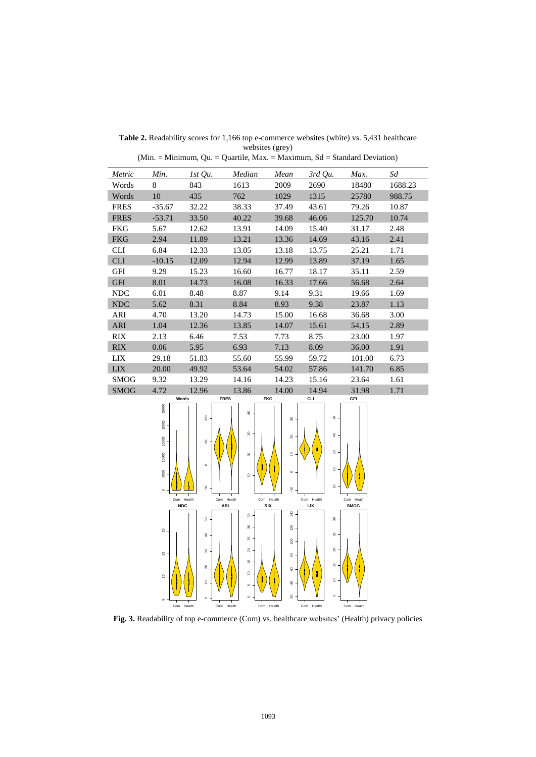| Metric      | Min.     | $1st$ Qu. | Median | Mean  | $3rd$ Qu. | Max.   | Sd      |
|-------------|----------|-----------|--------|-------|-----------|--------|---------|
| Words       | 8        | 843       | 1613   | 2009  | 2690      | 18480  | 1688.23 |
| Words       | 10       | 435       | 762    | 1029  | 1315      | 25780  | 988.75  |
| <b>FRES</b> | $-35.67$ | 32.22     | 38.33  | 37.49 | 43.61     | 79.26  | 10.87   |
| <b>FRES</b> | $-53.71$ | 33.50     | 40.22  | 39.68 | 46.06     | 125.70 | 10.74   |
| <b>FKG</b>  | 5.67     | 12.62     | 13.91  | 14.09 | 15.40     | 31.17  | 2.48    |
| <b>FKG</b>  | 2.94     | 11.89     | 13.21  | 13.36 | 14.69     | 43.16  | 2.41    |
| <b>CLI</b>  | 6.84     | 12.33     | 13.05  | 13.18 | 13.75     | 25.21  | 1.71    |
| <b>CLI</b>  | $-10.15$ | 12.09     | 12.94  | 12.99 | 13.89     | 37.19  | 1.65    |
| <b>GFI</b>  | 9.29     | 15.23     | 16.60  | 16.77 | 18.17     | 35.11  | 2.59    |
| <b>GFI</b>  | 8.01     | 14.73     | 16.08  | 16.33 | 17.66     | 56.68  | 2.64    |
| <b>NDC</b>  | 6.01     | 8.48      | 8.87   | 9.14  | 9.31      | 19.66  | 1.69    |
| <b>NDC</b>  | 5.62     | 8.31      | 8.84   | 8.93  | 9.38      | 23.87  | 1.13    |
| ARI         | 4.70     | 13.20     | 14.73  | 15.00 | 16.68     | 36.68  | 3.00    |
| <b>ARI</b>  | 1.04     | 12.36     | 13.85  | 14.07 | 15.61     | 54.15  | 2.89    |
| RIX         | 2.13     | 6.46      | 7.53   | 7.73  | 8.75      | 23.00  | 1.97    |
| <b>RIX</b>  | 0.06     | 5.95      | 6.93   | 7.13  | 8.09      | 36.00  | 1.91    |
| LIX         | 29.18    | 51.83     | 55.60  | 55.99 | 59.72     | 101.00 | 6.73    |
| <b>LIX</b>  | 20.00    | 49.92     | 53.64  | 54.02 | 57.86     | 141.70 | 6.85    |
| <b>SMOG</b> | 9.32     | 13.29     | 14.16  | 14.23 | 15.16     | 23.64  | 1.61    |
| <b>SMOG</b> | 4.72     | 12.96     | 13.86  | 14.00 | 14.94     | 31.98  | 1.71    |

<span id="page-9-0"></span>Table 2. Readability scores for 1,166 top e-commerce websites (white) vs. 5,431 healthcare websites (grey)

(Min. = Minimum, Qu. = Quartile, Max. = Maximum, Sd = Standard Deviation)



<span id="page-9-1"></span>**Fig. 3.** Readability of top e-commerce (Com) vs. healthcare websites' (Health) privacy policies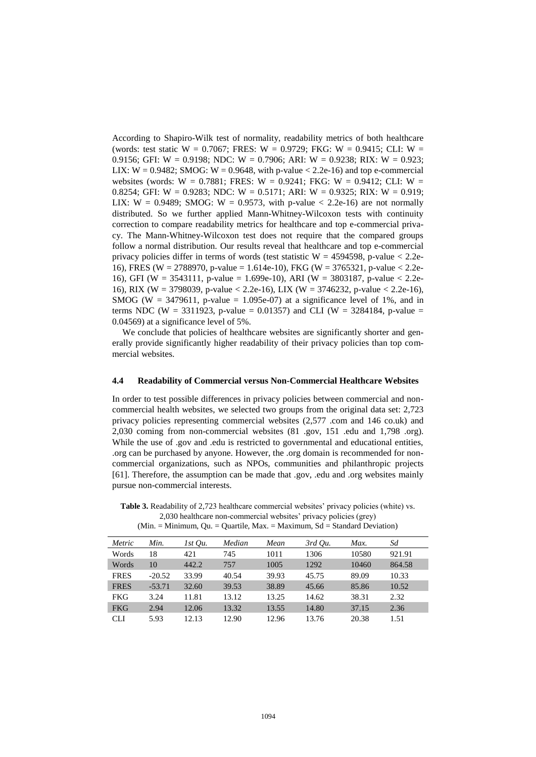According to Shapiro-Wilk test of normality, readability metrics of both healthcare (words: test static W = 0.7067; FRES: W = 0.9729; FKG: W = 0.9415; CLI: W = 0.9156; GFI: W = 0.9198; NDC: W = 0.7906; ARI: W = 0.9238; RIX: W = 0.923; LIX:  $W = 0.9482$ ; SMOG:  $W = 0.9648$ , with p-value < 2.2e-16) and top e-commercial websites (words:  $W = 0.7881$ ; FRES:  $W = 0.9241$ ; FKG:  $W = 0.9412$ ; CLI:  $W =$ 0.8254; GFI: W = 0.9283; NDC: W = 0.5171; ARI: W = 0.9325; RIX: W = 0.919; LIX:  $W = 0.9489$ ; SMOG:  $W = 0.9573$ , with p-value  $\lt 2.2e-16$  are not normally distributed. So we further applied Mann-Whitney-Wilcoxon tests with continuity correction to compare readability metrics for healthcare and top e-commercial privacy. The Mann-Whitney-Wilcoxon test does not require that the compared groups follow a normal distribution. Our results reveal that healthcare and top e-commercial privacy policies differ in terms of words (test statistic  $W = 4594598$ , p-value  $< 2.2e$ -16), FRES (W = 2788970, p-value = 1.614e-10), FKG (W = 3765321, p-value < 2.2e-16), GFI (W = 3543111, p-value = 1.699e-10), ARI (W = 3803187, p-value < 2.2e-16), RIX (W = 3798039, p-value < 2.2e-16), LIX (W = 3746232, p-value < 2.2e-16), SMOG (W = 3479611, p-value = 1.095e-07) at a significance level of 1%, and in terms NDC (W = 3311923, p-value = 0.01357) and CLI (W = 3284184, p-value = 0.04569) at a significance level of 5%.

We conclude that policies of healthcare websites are significantly shorter and generally provide significantly higher readability of their privacy policies than top commercial websites.

#### **4.4 Readability of Commercial versus Non-Commercial Healthcare Websites**

In order to test possible differences in privacy policies between commercial and noncommercial health websites, we selected two groups from the original data set: 2,723 privacy policies representing commercial websites (2,577 .com and 146 co.uk) and 2,030 coming from non-commercial websites (81 .gov, 151 .edu and 1,798 .org). While the use of .gov and .edu is restricted to governmental and educational entities, .org can be purchased by anyone. However, the .org domain is recommended for noncommercial organizations, such as NPOs, communities and philanthropic projects [\[61\]](#page-15-19). Therefore, the assumption can be made that .gov, .edu and .org websites mainly pursue non-commercial interests.

|             |          |           | $\sim$ - $\sim$ - $\sim$ - $\sim$ - $\sim$ - $\sim$ - $\sim$ |       |           |       |        |
|-------------|----------|-----------|--------------------------------------------------------------|-------|-----------|-------|--------|
| Metric      | Min.     | $1st$ Ou. | Median                                                       | Mean  | $3rd$ Ou. | Max.  | Sd     |
| Words       | 18       | 421       | 745                                                          | 1011  | 1306      | 10580 | 921.91 |
| Words       | 10       | 442.2     | 757                                                          | 1005  | 1292      | 10460 | 864.58 |
| <b>FRES</b> | $-20.52$ | 33.99     | 40.54                                                        | 39.93 | 45.75     | 89.09 | 10.33  |
| <b>FRES</b> | $-53.71$ | 32.60     | 39.53                                                        | 38.89 | 45.66     | 85.86 | 10.52  |
| <b>FKG</b>  | 3.24     | 11.81     | 13.12                                                        | 13.25 | 14.62     | 38.31 | 2.32   |
| <b>FKG</b>  | 2.94     | 12.06     | 13.32                                                        | 13.55 | 14.80     | 37.15 | 2.36   |
| <b>CLI</b>  | 5.93     | 12.13     | 12.90                                                        | 12.96 | 13.76     | 20.38 | 1.51   |

**Table 3.** Readability of 2,723 healthcare commercial websites' privacy policies (white) vs. 2,030 healthcare non-commercial websites' privacy policies (grey)  $(Min. = Minimum, Qu. = Quartile, Max. = Maximum, Sd = Standard Deviation)$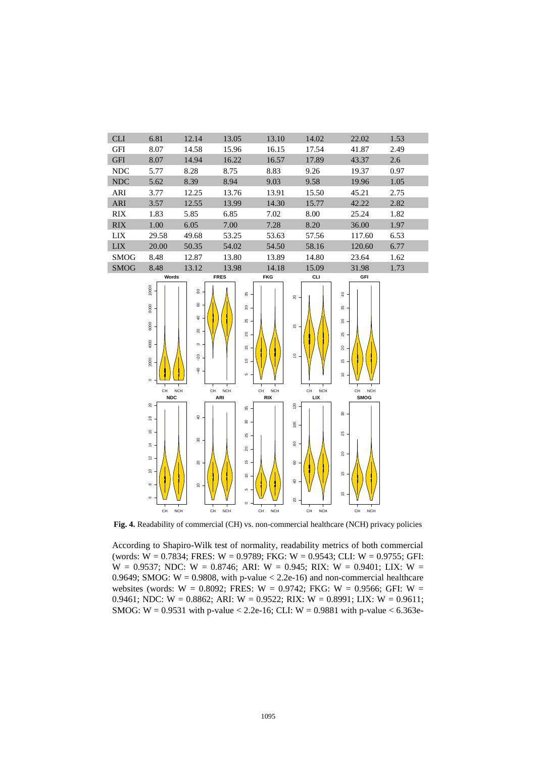

**Fig. 4.** Readability of commercial (CH) vs. non-commercial healthcare (NCH) privacy policies

According to Shapiro-Wilk test of normality, readability metrics of both commercial (words:  $W = 0.7834$ ; FRES:  $W = 0.9789$ ; FKG:  $W = 0.9543$ ; CLI:  $W = 0.9755$ ; GFI:  $W = 0.9537$ ; NDC:  $W = 0.8746$ ; ARI:  $W = 0.945$ ; RIX:  $W = 0.9401$ ; LIX:  $W =$ 0.9649; SMOG:  $W = 0.9808$ , with p-value < 2.2e-16) and non-commercial healthcare websites (words: W = 0.8092; FRES: W = 0.9742; FKG: W = 0.9566; GFI: W = 0.9461; NDC: W = 0.8862; ARI: W = 0.9522; RIX: W = 0.8991; LIX: W = 0.9611; SMOG: W = 0.9531 with p-value < 2.2e-16; CLI: W = 0.9881 with p-value <  $6.363e$ -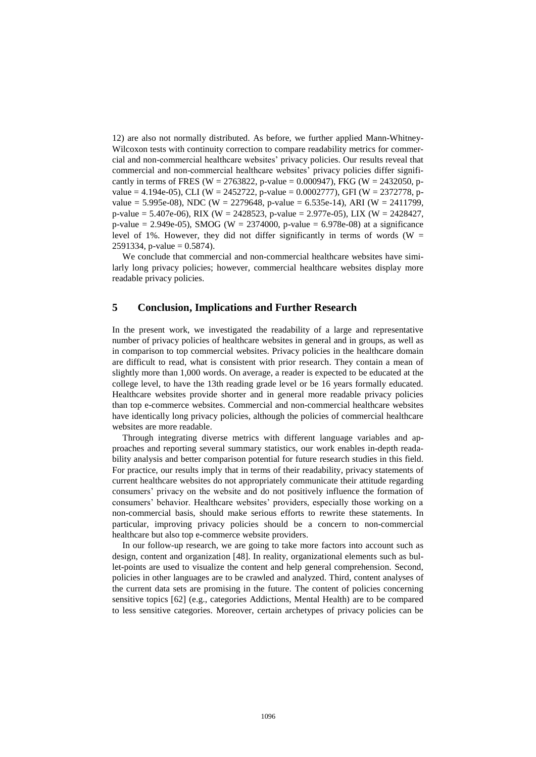12) are also not normally distributed. As before, we further applied Mann-Whitney-Wilcoxon tests with continuity correction to compare readability metrics for commercial and non-commercial healthcare websites' privacy policies. Our results reveal that commercial and non-commercial healthcare websites' privacy policies differ significantly in terms of FRES (W = 2763822, p-value = 0.000947), FKG (W = 2432050, pvalue = 4.194e-05), CLI (W = 2452722, p-value = 0.0002777), GFI (W = 2372778, pvalue = 5.995e-08), NDC (W = 2279648, p-value = 6.535e-14), ARI (W = 2411799, p-value = 5.407e-06), RIX (W = 2428523, p-value = 2.977e-05), LIX (W = 2428427, p-value = 2.949e-05), SMOG (W = 2374000, p-value = 6.978e-08) at a significance level of 1%. However, they did not differ significantly in terms of words (W  $=$ 2591334, p-value =  $0.5874$ ).

We conclude that commercial and non-commercial healthcare websites have similarly long privacy policies; however, commercial healthcare websites display more readable privacy policies.

#### **5 Conclusion, Implications and Further Research**

In the present work, we investigated the readability of a large and representative number of privacy policies of healthcare websites in general and in groups, as well as in comparison to top commercial websites. Privacy policies in the healthcare domain are difficult to read, what is consistent with prior research. They contain a mean of slightly more than 1,000 words. On average, a reader is expected to be educated at the college level, to have the 13th reading grade level or be 16 years formally educated. Healthcare websites provide shorter and in general more readable privacy policies than top e-commerce websites. Commercial and non-commercial healthcare websites have identically long privacy policies, although the policies of commercial healthcare websites are more readable.

Through integrating diverse metrics with different language variables and approaches and reporting several summary statistics, our work enables in-depth readability analysis and better comparison potential for future research studies in this field. For practice, our results imply that in terms of their readability, privacy statements of current healthcare websites do not appropriately communicate their attitude regarding consumers' privacy on the website and do not positively influence the formation of consumers' behavior. Healthcare websites' providers, especially those working on a non-commercial basis, should make serious efforts to rewrite these statements. In particular, improving privacy policies should be a concern to non-commercial healthcare but also top e-commerce website providers.

In our follow-up research, we are going to take more factors into account such as design, content and organization [\[48\]](#page-15-9). In reality, organizational elements such as bullet-points are used to visualize the content and help general comprehension. Second, policies in other languages are to be crawled and analyzed. Third, content analyses of the current data sets are promising in the future. The content of policies concerning sensitive topics [\[62\]](#page-15-20) (e.g., categories Addictions, Mental Health) are to be compared to less sensitive categories. Moreover, certain archetypes of privacy policies can be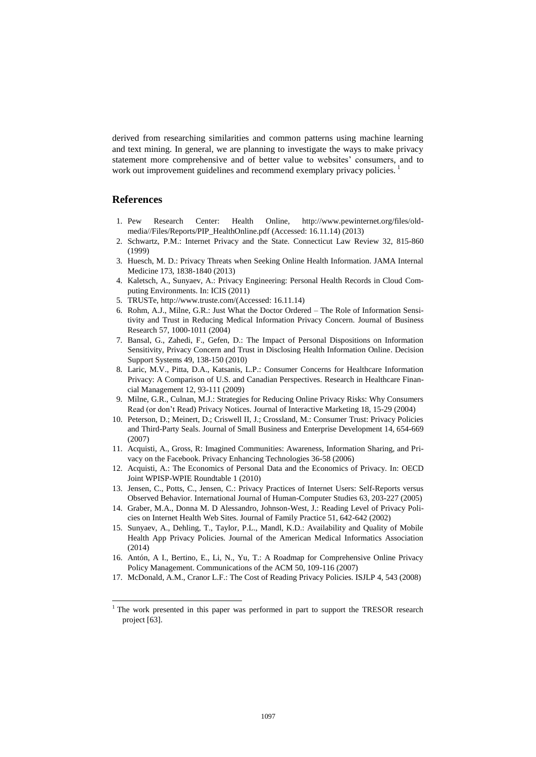derived from researching similarities and common patterns using machine learning and text mining. In general, we are planning to investigate the ways to make privacy statement more comprehensive and of better value to websites' consumers, and to work out improvement guidelines and recommend exemplary privacy policies.

### **References**

 $\overline{\phantom{a}}$ 

- <span id="page-13-0"></span>1. Pew Research Center: Health Online, [http://www.pewinternet.org/files/old](http://www.pewinternet.org/files/old-media/Files/Reports/PIP_HealthOnline.pdf)[media//Files/Reports/PIP\\_HealthOnline.pdf](http://www.pewinternet.org/files/old-media/Files/Reports/PIP_HealthOnline.pdf) (Accessed: 16.11.14) (2013)
- <span id="page-13-12"></span><span id="page-13-1"></span>2. Schwartz, P.M.: Internet Privacy and the State. Connecticut Law Review 32, 815-860 (1999)
- <span id="page-13-2"></span>3. Huesch, M. D.: Privacy Threats when Seeking Online Health Information. JAMA Internal Medicine 173, 1838-1840 (2013)
- <span id="page-13-3"></span>4. Kaletsch, A., Sunyaev, A.: Privacy Engineering: Personal Health Records in Cloud Computing Environments. In: ICIS (2011)
- <span id="page-13-4"></span>5. TRUSTe, http://www.truste.com/(Accessed: 16.11.14)
- <span id="page-13-5"></span>6. Rohm, A.J., Milne, G.R.: Just What the Doctor Ordered – The Role of Information Sensitivity and Trust in Reducing Medical Information Privacy Concern. Journal of Business Research 57, 1000-1011 (2004)
- <span id="page-13-13"></span>7. Bansal, G., Zahedi, F., Gefen, D.: The Impact of Personal Dispositions on Information Sensitivity, Privacy Concern and Trust in Disclosing Health Information Online. Decision Support Systems 49, 138-150 (2010)
- <span id="page-13-6"></span>8. Laric, M.V., Pitta, D.A., Katsanis, L.P.: Consumer Concerns for Healthcare Information Privacy: A Comparison of U.S. and Canadian Perspectives. Research in Healthcare Financial Management 12, 93-111 (2009)
- <span id="page-13-7"></span>9. Milne, G.R., Culnan, M.J.: Strategies for Reducing Online Privacy Risks: Why Consumers Read (or don't Read) Privacy Notices. Journal of Interactive Marketing 18, 15-29 (2004)
- <span id="page-13-8"></span>10. Peterson, D.; Meinert, D.; Criswell II, J.; Crossland, M.: Consumer Trust: Privacy Policies and Third-Party Seals. Journal of Small Business and Enterprise Development 14, 654-669 (2007)
- <span id="page-13-9"></span>11. Acquisti, A., Gross, R: Imagined Communities: Awareness, Information Sharing, and Privacy on the Facebook. Privacy Enhancing Technologies 36-58 (2006)
- <span id="page-13-14"></span>12. Acquisti, A.: The Economics of Personal Data and the Economics of Privacy. In: OECD Joint WPISP-WPIE Roundtable 1 (2010)
- <span id="page-13-10"></span>13. Jensen, C., Potts, C., Jensen, C.: Privacy Practices of Internet Users: Self-Reports versus Observed Behavior. International Journal of Human-Computer Studies 63, 203-227 (2005)
- <span id="page-13-11"></span>14. Graber, M.A., Donna M. D Alessandro, Johnson-West, J.: Reading Level of Privacy Policies on Internet Health Web Sites. Journal of Family Practice 51, 642-642 (2002)
- <span id="page-13-17"></span>15. Sunyaev, A., Dehling, T., Taylor, P.L., Mandl, K.D.: Availability and Quality of Mobile Health App Privacy Policies. Journal of the American Medical Informatics Association (2014)
- <span id="page-13-15"></span>16. Antón, A I., Bertino, E., Li, N., Yu, T.: A Roadmap for Comprehensive Online Privacy Policy Management. Communications of the ACM 50, 109-116 (2007)
- <span id="page-13-16"></span>17. McDonald, A.M., Cranor L.F.: The Cost of Reading Privacy Policies. ISJLP 4, 543 (2008)

 $1$ <sup>1</sup> The work presented in this paper was performed in part to support the TRESOR research project [\[63\]](#page-15-21).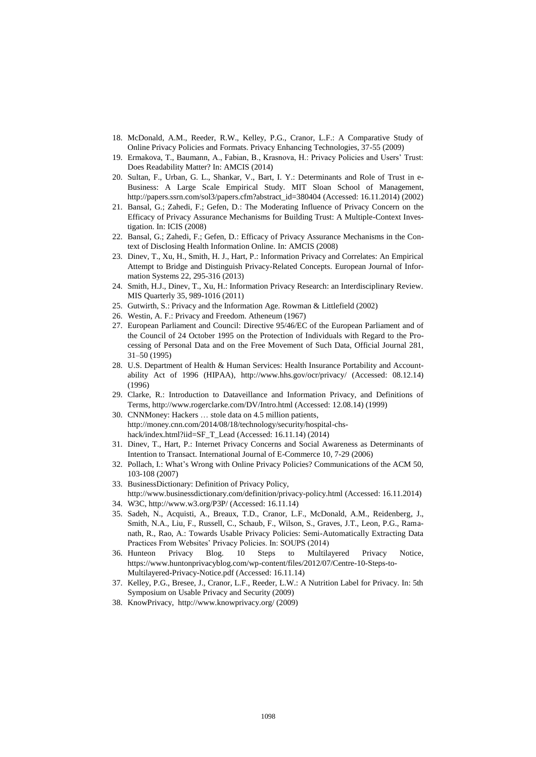- <span id="page-14-0"></span>18. McDonald, A.M., Reeder, R.W., Kelley, P.G., Cranor, L.F.: A Comparative Study of Online Privacy Policies and Formats. Privacy Enhancing Technologies, 37-55 (2009)
- <span id="page-14-1"></span>19. Ermakova, T., Baumann, A., Fabian, B., Krasnova, H.: Privacy Policies and Users' Trust: Does Readability Matter? In: AMCIS (2014)
- 20. Sultan, F., Urban, G. L., Shankar, V., Bart, I. Y.: Determinants and Role of Trust in e-Business: A Large Scale Empirical Study. MIT Sloan School of Management, [http://papers.ssrn.com/sol3/papers.cfm?abstract\\_id=380404](http://papers.ssrn.com/sol3/papers.cfm?abstract_id=380404) (Accessed: 16.11.2014) (2002)
- 21. Bansal, G.; Zahedi, F.; Gefen, D.: The Moderating Influence of Privacy Concern on the Efficacy of Privacy Assurance Mechanisms for Building Trust: A Multiple-Context Investigation. In: ICIS (2008)
- <span id="page-14-2"></span>22. Bansal, G.; Zahedi, F.; Gefen, D.: Efficacy of Privacy Assurance Mechanisms in the Context of Disclosing Health Information Online. In: AMCIS (2008)
- <span id="page-14-3"></span>23. Dinev, T., Xu, H., Smith, H. J., Hart, P.[: Information Privacy and Correlates: An Empirical](http://faculty.ist.psu.edu/xu/papers/ejis2013.pdf)  [Attempt to Bridge and Distinguish Privacy-Related Concepts.](http://faculty.ist.psu.edu/xu/papers/ejis2013.pdf) European Journal of Information Systems 22, 295-316 (2013)
- <span id="page-14-4"></span>24. Smith, H.J., Dinev, T., Xu, H.: Information Privacy Research: an Interdisciplinary Review. MIS Quarterly 35, 989-1016 (2011)
- <span id="page-14-5"></span>25. Gutwirth, S.: Privacy and the Information Age. Rowman & Littlefield (2002)
- <span id="page-14-6"></span>26. Westin, A. F.: Privacy and Freedom. Atheneum (1967)
- <span id="page-14-7"></span>27. European Parliament and Council: Directive 95/46/EC of the European Parliament and of the Council of 24 October 1995 on the Protection of Individuals with Regard to the Processing of Personal Data and on the Free Movement of Such Data, Official Journal 281, 31–50 (1995)
- <span id="page-14-8"></span>28. U.S. Department of Health & Human Services: Health Insurance Portability and Accountability Act of 1996 (HIPAA), <http://www.hhs.gov/ocr/privacy/> (Accessed: 08.12.14) (1996)
- <span id="page-14-9"></span>29. Clarke, R.: Introduction to Dataveillance and Information Privacy, and Definitions of Terms, http://www.rogerclarke.com/DV/Intro.html (Accessed: 12.08.14) (1999)
- <span id="page-14-10"></span>30. CNNMoney: Hackers … stole data on 4.5 million patients, [http://money.cnn.com/2014/08/18/technology/security/hospital-chs](http://money.cnn.com/2014/08/18/technology/security/hospital-chs-hack/index.html?iid=SF_T_Lead)[hack/index.html?iid=SF\\_T\\_Lead](http://money.cnn.com/2014/08/18/technology/security/hospital-chs-hack/index.html?iid=SF_T_Lead) (Accessed: 16.11.14) (2014)
- <span id="page-14-11"></span>31. Dinev, T., Hart, P.: Internet Privacy Concerns and Social Awareness as Determinants of Intention to Transact. International Journal of E-Commerce 10, 7-29 (2006)
- <span id="page-14-12"></span>32. Pollach, I.: What's Wrong with Online Privacy Policies? Communications of the ACM 50, 103-108 (2007)
- <span id="page-14-13"></span>33. BusinessDictionary: Definition of Privacy Policy, http://www.businessdictionary.com/definition/privacy-policy.html (Accessed: 16.11.2014)
- <span id="page-14-14"></span>34. W3C, http://www.w3.org/P3P/ (Accessed: 16.11.14)
- <span id="page-14-15"></span>35. Sadeh, N., Acquisti, A., Breaux, T.D., Cranor, L.F., McDonald, A.M., Reidenberg, J., Smith, N.A., Liu, F., Russell, C., Schaub, F., Wilson, S., Graves, J.T., Leon, P.G., Ramanath, R., Rao, A.: Towards Usable Privacy Policies: Semi-Automatically Extracting Data Practices From Websites' Privacy Policies. In: SOUPS (2014)
- <span id="page-14-16"></span>36. Hunteon Privacy Blog. 10 Steps to Multilayered Privacy Notice, [https://www.huntonprivacyblog.com/wp-content/files/2012/07/Centre-10-Steps-to-](https://www.huntonprivacyblog.com/wp-content/files/2012/07/Centre-10-Steps-to-Multilayered-Privacy-Notice.pdf)[Multilayered-Privacy-Notice.pdf](https://www.huntonprivacyblog.com/wp-content/files/2012/07/Centre-10-Steps-to-Multilayered-Privacy-Notice.pdf) (Accessed: 16.11.14)
- <span id="page-14-17"></span>37. Kelley, P.G., Bresee, J., Cranor, L.F., Reeder, L.W.: A Nutrition Label for Privacy. In: 5th Symposium on Usable Privacy and Security (2009)
- <span id="page-14-18"></span>38. KnowPrivacy, http://www.knowprivacy.org/ (2009)